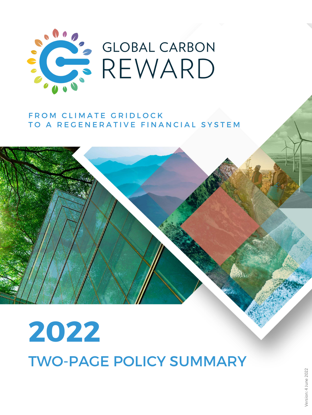

## FROM CLIMATE GRIDLOCK TO A REGENERATIVE FINANCIAL SYSTEM

# **2022** TWO-PAGE POLICY SUMMARY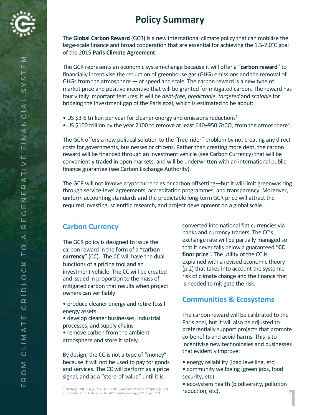

The **Global Carbon Reward** (GCR) is a new international climate policy that can mobilise the large-scale finance and broad cooperation that are essential for achieving the 1.5-2.0°C goal of the 2015 **Paris Climate Agreement**.

The GCR represents an economic system-change because it will offer a "**carbon reward**" to financially incentivise the reduction of greenhouse gas (GHG) emissions and the removal of GHGs from the atmosphere — at speed and scale. The carbon reward is a new type of market price and positive incentive that will be granted for mitigated carbon. The reward has four vitally important features: it will be *debt-free*, *predictable*, *targeted* and *scalable* for bridging the investment gap of the Paris goal, which is estimated to be about:

- US \$3-6 trillion per year for cleaner energy and emissions reductions<sup>1</sup>
- US \$100 trillion by the year 2100 to remove at least 640–950 GtCO<sub>2</sub> from the atmosphere<sup>2</sup>.

The GCR offers a new political solution to the "free-rider" problem by not creating any direct costs for governments, businesses or citizens. Rather than creating more debt, the carbon reward will be financed through an investment vehicle (see Carbon Currency) that will be conveniently traded in open markets, and will be underwritten with an international public finance guarantee (see Carbon Exchange Authority).

The GCR will not involve cryptocurrencies or carbon offsetting—but it will limit greenwashing through service-level agreements, accreditation programmes, and transparency. Moreover, uniform accounting standards and the predictable long-term GCR price will attract the required investing, scientific research, and project development on a global scale.

#### **Carbon Currency**

The GCR policy is designed to issue the carbon reward in the form of a "**carbon currency**" (CC). The CC will have the dual functions of a pricing tool and an investment vehicle. The CC will be created and issued in proportion to the mass of mitigated carbon that results when project owners can verifiably:

- produce cleaner energy and retire fossil energy assets
- develop cleaner businesses, industrial processes, and supply chains • remove carbon from the ambient atmosphere and store it safely.

By design, the CC is not a type of "money" because it will not be used to pay for goods and services. The CC will perform as a price signal, and as a "store-of-value" until it is

1 IRENA (2019) , IEA (2021), OECD (2018) and McKinsey & Company (2022) 2 Estimated from Luderer et al. (2018) and assuming US\$100 per tCO2

converted into national fiat currencies via banks and currency traders. The CC's exchange rate will be partially managed so that it never falls below a guaranteed "**CC floor price**". The utility of the CC is explained with a revised economic theory (p.2) that takes into account the systemic risk of climate change and the finance that is needed to mitigate the risk.

#### **Communities & Ecosystems**

The carbon reward will be calibrated to the Paris goal, but it will also be adjusted to preferentially support projects that promote co-benefits and avoid harms. This is to incentivise new technologies and businesses that evidently improve:

- energy reliability (load levelling, etc)
- community wellbeing (green jobs, food security, etc)

• ecosystem health (biodiversity, pollution reduction, etc).